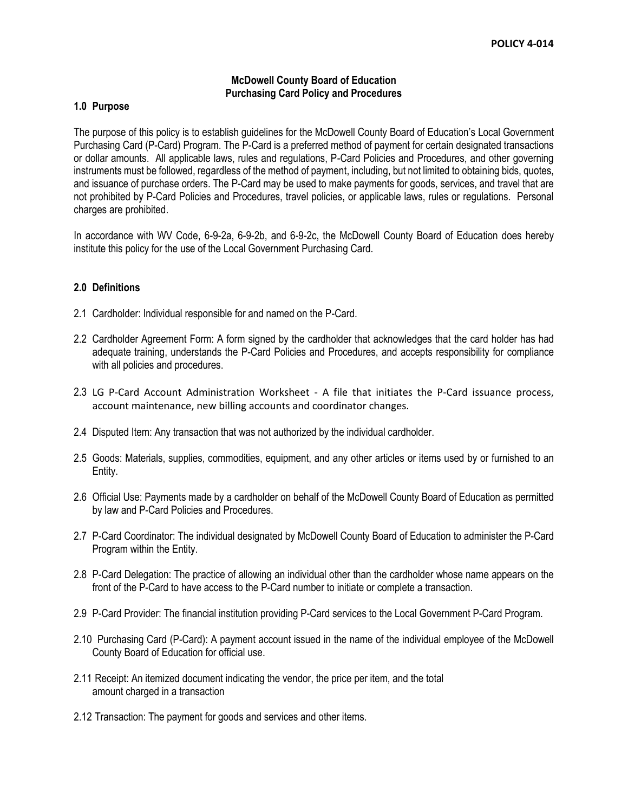#### **McDowell County Board of Education Purchasing Card Policy and Procedures**

### **1.0 Purpose**

The purpose of this policy is to establish guidelines for the McDowell County Board of Education's Local Government Purchasing Card (P-Card) Program. The P-Card is a preferred method of payment for certain designated transactions or dollar amounts. All applicable laws, rules and regulations, P-Card Policies and Procedures, and other governing instruments must be followed, regardless of the method of payment, including, but not limited to obtaining bids, quotes, and issuance of purchase orders. The P-Card may be used to make payments for goods, services, and travel that are not prohibited by P-Card Policies and Procedures, travel policies, or applicable laws, rules or regulations. Personal charges are prohibited.

In accordance with WV Code, 6-9-2a, 6-9-2b, and 6-9-2c, the McDowell County Board of Education does hereby institute this policy for the use of the Local Government Purchasing Card.

#### **2.0 Definitions**

- 2.1 Cardholder: Individual responsible for and named on the P-Card.
- 2.2 Cardholder Agreement Form: A form signed by the cardholder that acknowledges that the card holder has had adequate training, understands the P-Card Policies and Procedures, and accepts responsibility for compliance with all policies and procedures.
- 2.3 LG P-Card Account Administration Worksheet A file that initiates the P-Card issuance process, account maintenance, new billing accounts and coordinator changes.
- 2.4 Disputed Item: Any transaction that was not authorized by the individual cardholder.
- 2.5 Goods: Materials, supplies, commodities, equipment, and any other articles or items used by or furnished to an Entity.
- 2.6 Official Use: Payments made by a cardholder on behalf of the McDowell County Board of Education as permitted by law and P-Card Policies and Procedures.
- 2.7 P-Card Coordinator: The individual designated by McDowell County Board of Education to administer the P-Card Program within the Entity.
- 2.8 P-Card Delegation: The practice of allowing an individual other than the cardholder whose name appears on the front of the P-Card to have access to the P-Card number to initiate or complete a transaction.
- 2.9 P-Card Provider: The financial institution providing P-Card services to the Local Government P-Card Program.
- 2.10 Purchasing Card (P-Card): A payment account issued in the name of the individual employee of the McDowell County Board of Education for official use.
- 2.11 Receipt: An itemized document indicating the vendor, the price per item, and the total amount charged in a transaction
- 2.12 Transaction: The payment for goods and services and other items.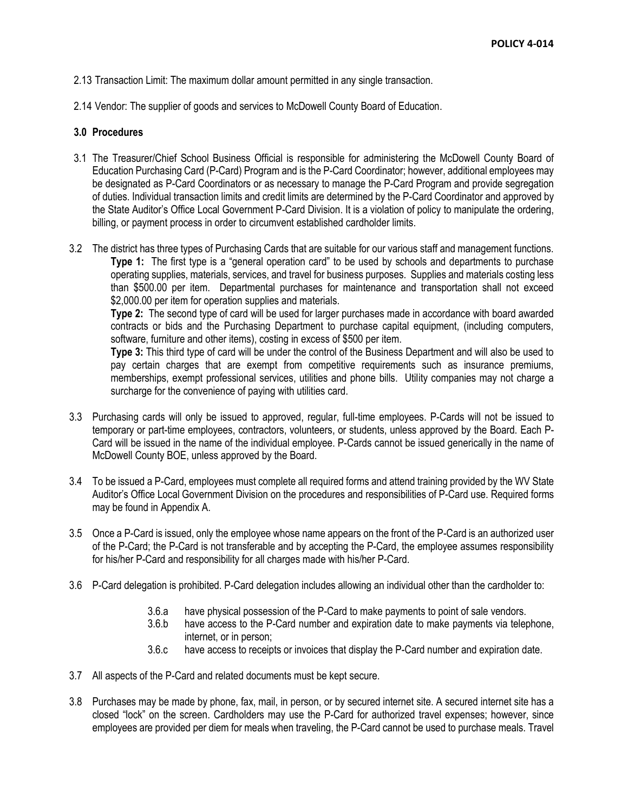- 2.13 Transaction Limit: The maximum dollar amount permitted in any single transaction.
- 2.14 Vendor: The supplier of goods and services to McDowell County Board of Education.

# **3.0 Procedures**

- 3.1 The Treasurer/Chief School Business Official is responsible for administering the McDowell County Board of Education Purchasing Card (P-Card) Program and is the P-Card Coordinator; however, additional employees may be designated as P-Card Coordinators or as necessary to manage the P-Card Program and provide segregation of duties. Individual transaction limits and credit limits are determined by the P-Card Coordinator and approved by the State Auditor's Office Local Government P-Card Division. It is a violation of policy to manipulate the ordering, billing, or payment process in order to circumvent established cardholder limits.
- 3.2 The district has three types of Purchasing Cards that are suitable for our various staff and management functions. **Type 1:** The first type is a "general operation card" to be used by schools and departments to purchase operating supplies, materials, services, and travel for business purposes. Supplies and materials costing less than \$500.00 per item. Departmental purchases for maintenance and transportation shall not exceed \$2,000.00 per item for operation supplies and materials.

**Type 2:** The second type of card will be used for larger purchases made in accordance with board awarded contracts or bids and the Purchasing Department to purchase capital equipment, (including computers, software, furniture and other items), costing in excess of \$500 per item.

**Type 3:** This third type of card will be under the control of the Business Department and will also be used to pay certain charges that are exempt from competitive requirements such as insurance premiums, memberships, exempt professional services, utilities and phone bills. Utility companies may not charge a surcharge for the convenience of paying with utilities card.

- 3.3 Purchasing cards will only be issued to approved, regular, full-time employees. P-Cards will not be issued to temporary or part-time employees, contractors, volunteers, or students, unless approved by the Board. Each P-Card will be issued in the name of the individual employee. P-Cards cannot be issued generically in the name of McDowell County BOE, unless approved by the Board.
- 3.4 To be issued a P-Card, employees must complete all required forms and attend training provided by the WV State Auditor's Office Local Government Division on the procedures and responsibilities of P-Card use. Required forms may be found in Appendix A.
- 3.5 Once a P-Card is issued, only the employee whose name appears on the front of the P-Card is an authorized user of the P-Card; the P-Card is not transferable and by accepting the P-Card, the employee assumes responsibility for his/her P-Card and responsibility for all charges made with his/her P-Card.
- 3.6 P-Card delegation is prohibited. P-Card delegation includes allowing an individual other than the cardholder to:
	- 3.6.a have physical possession of the P-Card to make payments to point of sale vendors.
	- 3.6.b have access to the P-Card number and expiration date to make payments via telephone, internet, or in person;
	- 3.6.c have access to receipts or invoices that display the P-Card number and expiration date.
- 3.7 All aspects of the P-Card and related documents must be kept secure.
- 3.8 Purchases may be made by phone, fax, mail, in person, or by secured internet site. A secured internet site has a closed "lock" on the screen. Cardholders may use the P-Card for authorized travel expenses; however, since employees are provided per diem for meals when traveling, the P-Card cannot be used to purchase meals. Travel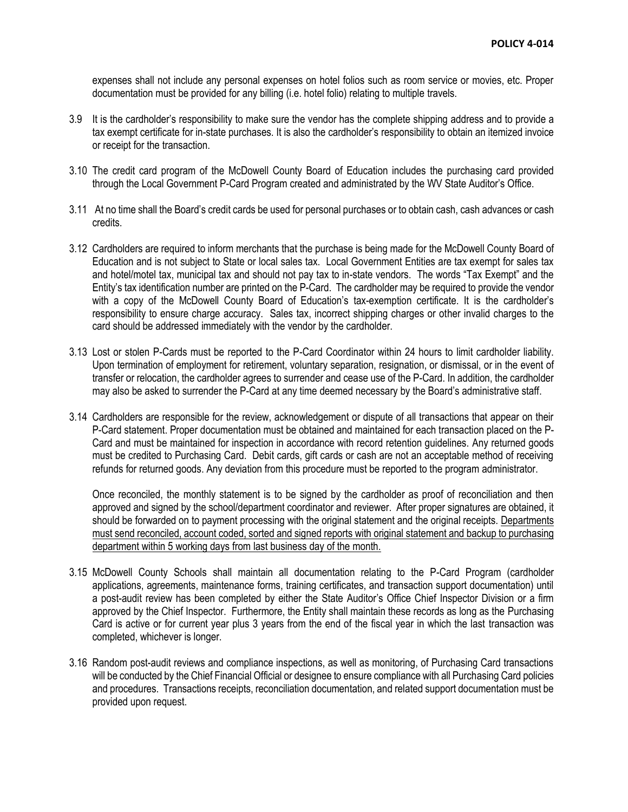expenses shall not include any personal expenses on hotel folios such as room service or movies, etc. Proper documentation must be provided for any billing (i.e. hotel folio) relating to multiple travels.

- 3.9 It is the cardholder's responsibility to make sure the vendor has the complete shipping address and to provide a tax exempt certificate for in-state purchases. It is also the cardholder's responsibility to obtain an itemized invoice or receipt for the transaction.
- 3.10 The credit card program of the McDowell County Board of Education includes the purchasing card provided through the Local Government P-Card Program created and administrated by the WV State Auditor's Office.
- 3.11 At no time shall the Board's credit cards be used for personal purchases or to obtain cash, cash advances or cash credits.
- 3.12 Cardholders are required to inform merchants that the purchase is being made for the McDowell County Board of Education and is not subject to State or local sales tax. Local Government Entities are tax exempt for sales tax and hotel/motel tax, municipal tax and should not pay tax to in-state vendors. The words "Tax Exempt" and the Entity's tax identification number are printed on the P-Card. The cardholder may be required to provide the vendor with a copy of the McDowell County Board of Education's tax-exemption certificate. It is the cardholder's responsibility to ensure charge accuracy. Sales tax, incorrect shipping charges or other invalid charges to the card should be addressed immediately with the vendor by the cardholder.
- 3.13 Lost or stolen P-Cards must be reported to the P-Card Coordinator within 24 hours to limit cardholder liability. Upon termination of employment for retirement, voluntary separation, resignation, or dismissal, or in the event of transfer or relocation, the cardholder agrees to surrender and cease use of the P-Card. In addition, the cardholder may also be asked to surrender the P-Card at any time deemed necessary by the Board's administrative staff.
- 3.14 Cardholders are responsible for the review, acknowledgement or dispute of all transactions that appear on their P-Card statement. Proper documentation must be obtained and maintained for each transaction placed on the P-Card and must be maintained for inspection in accordance with record retention guidelines. Any returned goods must be credited to Purchasing Card. Debit cards, gift cards or cash are not an acceptable method of receiving refunds for returned goods. Any deviation from this procedure must be reported to the program administrator.

Once reconciled, the monthly statement is to be signed by the cardholder as proof of reconciliation and then approved and signed by the school/department coordinator and reviewer. After proper signatures are obtained, it should be forwarded on to payment processing with the original statement and the original receipts. Departments must send reconciled, account coded, sorted and signed reports with original statement and backup to purchasing department within 5 working days from last business day of the month.

- 3.15 McDowell County Schools shall maintain all documentation relating to the P-Card Program (cardholder applications, agreements, maintenance forms, training certificates, and transaction support documentation) until a post-audit review has been completed by either the State Auditor's Office Chief Inspector Division or a firm approved by the Chief Inspector. Furthermore, the Entity shall maintain these records as long as the Purchasing Card is active or for current year plus 3 years from the end of the fiscal year in which the last transaction was completed, whichever is longer.
- 3.16 Random post-audit reviews and compliance inspections, as well as monitoring, of Purchasing Card transactions will be conducted by the Chief Financial Official or designee to ensure compliance with all Purchasing Card policies and procedures. Transactions receipts, reconciliation documentation, and related support documentation must be provided upon request.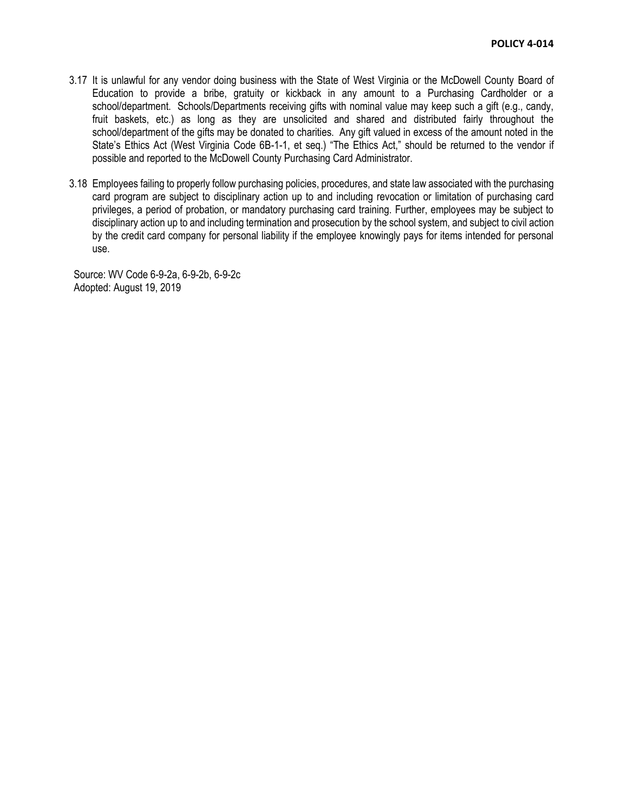- 3.17 It is unlawful for any vendor doing business with the State of West Virginia or the McDowell County Board of Education to provide a bribe, gratuity or kickback in any amount to a Purchasing Cardholder or a school/department. Schools/Departments receiving gifts with nominal value may keep such a gift (e.g., candy, fruit baskets, etc.) as long as they are unsolicited and shared and distributed fairly throughout the school/department of the gifts may be donated to charities. Any gift valued in excess of the amount noted in the State's Ethics Act (West Virginia Code 6B-1-1, et seq.) "The Ethics Act," should be returned to the vendor if possible and reported to the McDowell County Purchasing Card Administrator.
- 3.18 Employees failing to properly follow purchasing policies, procedures, and state law associated with the purchasing card program are subject to disciplinary action up to and including revocation or limitation of purchasing card privileges, a period of probation, or mandatory purchasing card training. Further, employees may be subject to disciplinary action up to and including termination and prosecution by the school system, and subject to civil action by the credit card company for personal liability if the employee knowingly pays for items intended for personal use.

Source: WV Code 6-9-2a, 6-9-2b, 6-9-2c Adopted: August 19, 2019